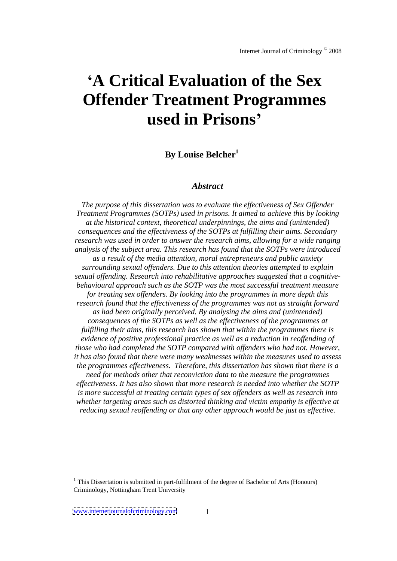# **A Critical Evaluation of the Sex Offender Treatment Programmes used in Prisons**

# **By Louise Belcher1**

## *Abstract*

*The purpose of this dissertation was to evaluate the ef ectiveness of Sex Of ender Treatment Programmes (SOTPs) used in prisons. It aimed to achieve this by looking at the historical context, theoretical underpinnings, the aims and (unintended) consequences and the ef ectiveness of the SOTPs at fulfilling their aims. Secondary research was used in order to answer the research aims, allowing fora wide ranging analysis of the subject area. This research has found that the SOTPs were introduced as a result of the media attention, moral entrepreneurs and public anxiety surrounding sexual of enders. Due to this attention theories attempted to explain sexual of ending. Research into rehabilitative approaches suggested that a cognitive behavioural approach such as the SOTP was the most successful treatment measure for treating sex of enders. By looking into the programmes in more depth this research found that the ef ectiveness of the programmes was not as straight forward as had been originally perceived. By analysing the aims and (unintended) consequences of the SOTPs as well as the ef ectiveness of the programmes at fulfilling their aims, this research has shown that within the programmes there is evidence of positive professional practice as well as a reduction in reof ending of those who had completed the SOTP compared with of enders who had not. However, it has also found that there were many weaknesses within the measures used to assess the programmes ef ectiveness. Therefore, this dissertation has shown that there is a need for methods other that reconviction data to the measure the programmes ef ectiveness. It has also shown that more research is needed into whether the SOTP is more successful at treating certain types of sex of enders as well as research into whether targeting areas such as distorted thinking and victim empathy is ef ective at reducing sexual reof ending or that any other approach would be just as ef ective.*

 $1$  This Dissertation is submitted in part-fulfilment of the degree of Bachelor of Arts (Honours) Criminology, Nottingham Trent University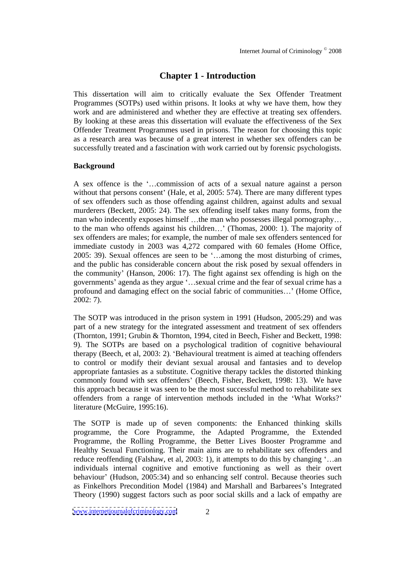# **Chapter 1 - Introduction**

This dissertation will aim to critically evaluate the Sex Offender Treatment Programmes (SOTPs) used within prisons. It looks at why we have them, how they work and are administered and whether they are effective at treating sex offenders. By looking at these areas this dissertation will evaluate the effectiveness of the Sex Offender Treatment Programmes used in prisons. The reason for choosing this topic as a research area was because of a great interest in whether sex offenders can be successfully treated and a fascination with work carried out by forensic psychologists.

## **Background**

A sex offence is the '...commission of acts of a sexual nature against a person without that persons consent' (Hale, et al, 2005: 574). There are many different types of sex offenders such as those offending against children, against adults and sexual murderers (Beckett, 2005: 24). The sex offending itself takes many forms, from the man who indecently exposes himself ...the man who possesses illegal pornography... to the man who offends against his children...' (Thomas, 2000: 1). The majority of sex offenders are males; for example, the number of male sex offenders sentenced for immediate custody in 2003 was 4,272 compared with 60 females (Home Office,  $2005: 39$ ). Sexual offences are seen to be '...among the most disturbing of crimes, and the public has considerable concern about the risk posed by sexual offenders in the community (Hanson, 2006: 17). The fight against sex offending is high on the governments' agenda as they argue '...sexual crime and the fear of sexual crime has a profound and damaging effect on the social fabric of communities...' (Home Office, 2002: 7).

The SOTP was introduced in the prison system in 1991 (Hudson, 2005:29) and was part of a new strategy for the integrated assessment and treatment of sex offenders (Thornton, 1991; Grubin & Thornton, 1994, cited in Beech, Fisher and Beckett, 1998: 9). The SOTPs are based on a psychological tradition of cognitive behavioural therapy (Beech, et al, 2003: 2). 'Behavioural treatment is aimed at teaching offenders to control or modify their deviant sexual arousal and fantasies and to develop appropriate fantasies as a substitute. Cognitive therapy tackles the distorted thinking commonly found with sex offenders' (Beech, Fisher, Beckett, 1998: 13). We have this approach because it was seen to be the most successful method to rehabilitate sex offenders from a range of intervention methods included in the What Works? literature (McGuire, 1995:16).

The SOTP is made up of seven components: the Enhanced thinking skills programme, the Core Programme, the Adapted Programme, the Extended Programme, the Rolling Programme, the Better Lives Booster Programme and Healthy Sexual Functioning. Their main aims are to rehabilitate sex offenders and reduce reoffending (Falshaw, et al, 2003: 1), it attempts to do this by changing  $\dots$  an individuals internal cognitive and emotive functioning as well as their overt behaviour' (Hudson, 2005:34) and so enhancing self control. Because theories such as Finkelhors Precondition Model (1984) and Marshall and Barbarees's Integrated Theory (1990) suggest factors such as poor social skills and a lack of empathy are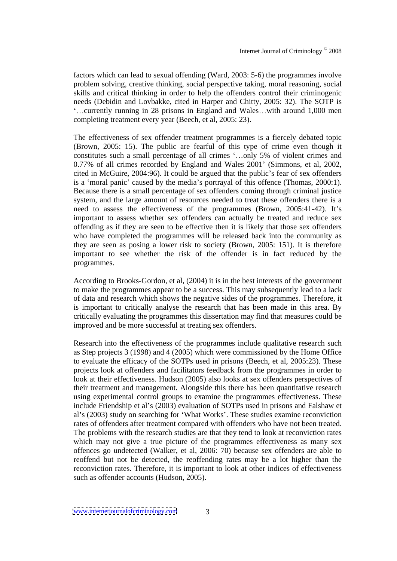factors which can lead to sexual offending (Ward, 2003: 5-6) the programmes involve problem solving, creative thinking, social perspective taking, moral reasoning, social skills and critical thinking in order to help the offenders control their criminogenic needs (Debidin and Lovbakke, cited in Harper and Chitty, 2005: 32). The SOTP is ...currently running in 28 prisons in England and Wales...with around 1,000 men completing treatment every year (Beech, et al, 2005: 23).

The effectiveness of sex offender treatment programmes is a fiercely debated topic (Brown, 2005: 15). The public are fearful of this type of crime even though it constitutes such a small percentage of all crimes '...only 5% of violent crimes and 0.77% of all crimes recorded by England and Wales 2001' (Simmons, et al, 2002, cited in McGuire, 2004:96). It could be argued that the public's fear of sex offenders is a 'moral panic' caused by the media's portrayal of this offence (Thomas, 2000:1). Because there is a small percentage of sex offenders coming through criminal justice system, and the large amount of resources needed to treat these offenders there is a need to assess the effectiveness of the programmes (Brown, 2005:41-42). It's important to assess whether sex offenders can actually be treated and reduce sex offending as if they are seen to be effective then it is likely that those sex offenders who have completed the programmes will be released back into the community as they are seen as posing a lower risk to society (Brown, 2005: 151). It is therefore important to see whether the risk of the offender is in fact reduced by the programmes.

According to Brooks-Gordon, et al, (2004) it is in the best interests of the government to make the programmes appear to be a success. This may subsequently lead to a lack of data and research which shows the negative sides ofthe programmes. Therefore, it is important to critically analyse the research that has been made in this area. By critically evaluating the programmes this dissertation may find that measures could be improved and be more successful at treating sex offenders.

Research into the effectiveness of the programmes include qualitative research such as Step projects 3 (1998) and 4 (2005) which were commissioned by the Home Office to evaluate the efficacy of the SOTPs used in prisons(Beech, et al, 2005:23). These projects look at offenders and facilitators feedback from the programmes in order to look at their effectiveness. Hudson (2005) also looks at sex offenders perspectives of their treatment and management. Alongside this there has been quantitative research using experimental control groups to examine the programmes effectiveness. These include Friendship et al's (2003) evaluation of SOTPs used in prisons and Falshaw et al's (2003) study on searching for 'What Works'. These studies examine reconviction rates of offenders after treatment compared with offenders who have not been treated. The problems with the research studies are that they tend to look at reconviction rates which may not give a true picture of the programmes effectiveness as many sex offences go undetected (Walker, et al, 2006: 70) because sex offenders are able to reoffend but not be detected, the reoffending rates may be a lot higher than the reconviction rates. Therefore, it is important to look at other indices of effectiveness such as offender accounts (Hudson, 2005).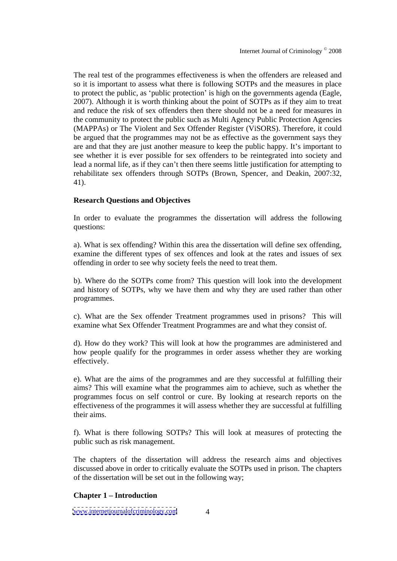The real test of the programmes effectiveness is when the offenders are released and so it is important to assess what there is following SOTPs and the measures in place to protect the public, as 'public protection' is high on the governments agenda (Eagle, 2007). Although it is worth thinking about the point of SOTPs as if they aim to treat and reduce the risk of sex offenders then there should not be a need for measures in the community to protect the public such as Multi Agency Public Protection Agencies (MAPPAs) or The Violent and Sex Offender Register (ViSORS). Therefore, it could be argued that the programmes may not be as effective as the government says they are and that they are just another measure to keep the public happy. It's important to see whether it is ever possible for sex offenders to be reintegrated into society and lead a normal life, as if they can't then there seems little justification for attempting to rehabilitate sex offenders through SOTPs (Brown, Spencer, and Deakin, 2007:32, 41).

## **Research Questions and Objectives**

In order to evaluate the programmes the dissertation will address the following questions:

a). What is sex offending? Within this area the dissertation will define sex offending, examine the different types of sex offences and look at the rates and issues of sex offending in order to see why society feels the need to treat them.

b). Where do the SOTPs come from? This question will look into the development and history of SOTPs, why we have them and why they are used rather than other programmes.

c). What are the Sex offender Treatment programmes used in prisons? This will examine what Sex Offender Treatment Programmes are and what they consist of.

d). How do they work? This will look at how the programmes are administered and how people qualify for the programmes in order assess whether they are working effectively.

e). What are the aims of the programmes and are they successful at fulfilling their aims? This will examine what the programmes aim to achieve, such as whether the programmes focus on self control or cure. By looking at research reports on the effectiveness of the programmes it will assess whether they are successful at fulfilling their aims.

f). What is there following SOTPs? This will look at measures of protecting the public such as risk management.

The chapters of the dissertation will address the research aims and objectives discussed above in order to critically evaluate the SOTPs used in prison. The chapters of the dissertation will be set out in the following way;

## **Chapter 1 Introduction**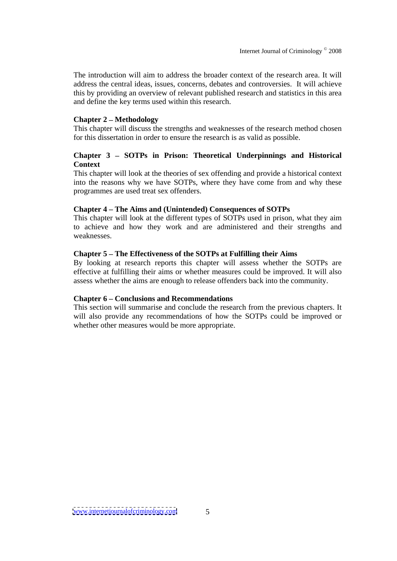The introduction will aim to address the broader context of the research area. It will address the central ideas, issues, concerns, debates and controversies. It will achieve this by providing an overview of relevant published research and statistics in this area and define the key terms used within this research.

## **Chapter 2 Methodology**

This chapter will discuss the strengths and weaknesses of the research method chosen for this dissertation in order to ensure the research is as valid as possible.

## **Chapter 3 SOTPs in Prison: Theoretical Underpinnings and Historical Context**

This chapter will look at the theories of sex offending and provide a historical context into the reasons why we have SOTPs, where they have come from and why these programmes are used treat sex offenders.

## **Chapter 4 The Aims and (Unintended) Consequences of SOTPs**

This chapter will look at the different types of SOTPs used in prison, what they aim to achieve and how they work and are administered and their strengths and weaknesses.

## **Chapter 5 The Effectiveness of the SOTPs at Fulfilling their Aims**

By looking at research reports this chapter will assess whether the SOTPs are effective at fulfilling their aims or whether measures could be improved. It will also assess whether the aims are enough to release offenders back into the community.

## **Chapter 6 Conclusions and Recommendations**

This section will summarise and conclude the research from the previous chapters. It will also provide any recommendations of how the SOTPs could be improved or whether other measures would be more appropriate.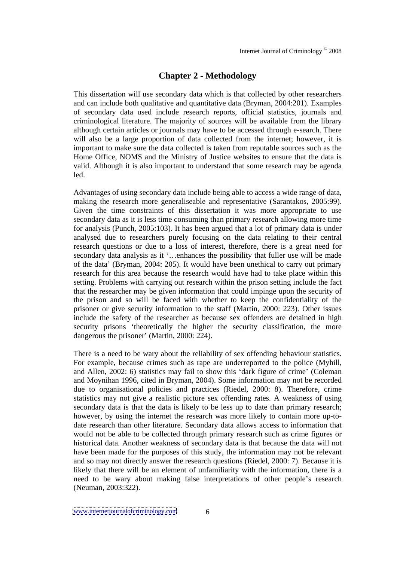## **Chapter 2 - Methodology**

This dissertation will use secondary datawhich is that collected by other researchers and can include both qualitative and quantitative data (Bryman,  $2004:201$ ). Examples of secondary data used include research reports, official statistics, journals and criminological literature. The majority of sources will be available from the library although certain articles or journals may have to be accessed through e-search. There will also be a large proportion of data collected from the internet; however, it is important to make sure the data collected is taken from reputable sources such as the Home Office, NOMS and the Ministry of Justice websites to ensure that the data is valid. Although it is also important to understand that some research may be agenda led.

Advantages of using secondary data include being able to access a wide range of data, making the research more generaliseable and representative (Sarantakos, 2005:99). Given the time constraints of this dissertation it was more appropriate to use secondary data as it is less time consuming than primary research allowing more time for analysis (Punch, 2005:103). It has been argued that a lot of primary data is under analysed due to researchers purely focusing on the data relating to their central research questions or due to a loss of interest, therefore, there is a great need for secondary data analysis as it '...enhances the possibility that fuller use will be made of the data' (Bryman, 2004: 205). It would have been unethical to carry out primary research for this area because the research would have had to take place within this setting. Problems with carrying out research within the prison setting include the fact that the researcher may be given information that could impinge upon the security of the prison and so will be faced with whether to keep the confidentiality of the prisoner or give security information to the staff (Martin, 2000: 223). Other issues include the safety of the researcher as because sex offenders are detained in high security prisons theoretically the higher the security classification, the more dangerous the prisoner' (Martin, 2000: 224).

There is a need to be wary about the reliability of sex offending behaviour statistics. For example, because crimes such as rape are underreported to the police (Myhill, and Allen,  $2002$ : 6) statistics may fail to show this 'dark figure of crime' (Coleman and Moynihan 1996, cited in Bryman, 2004). Some information may not be recorded due to organisational policies and practices (Riedel, 2000: 8). Therefore, crime statistics may not give a realistic picture sex offending rates. A weakness of using secondary data is that the data is likely to be less up to date than primary research; however, by using the internet the research was more likely to contain more up-to date research than other literature. Secondary data allows access to information that would not be able to be collected through primary research such as crime figures or historical data. Another weakness of secondary data is that because thedata will not have been made for the purposes of this study, the information may not be relevant and so may not directly answer the research questions (Riedel, 2000: 7). Because it is likely that there will be an element of unfamiliarity with the information, there is a need to be wary about making false interpretations of other people's research (Neuman, 2003:322).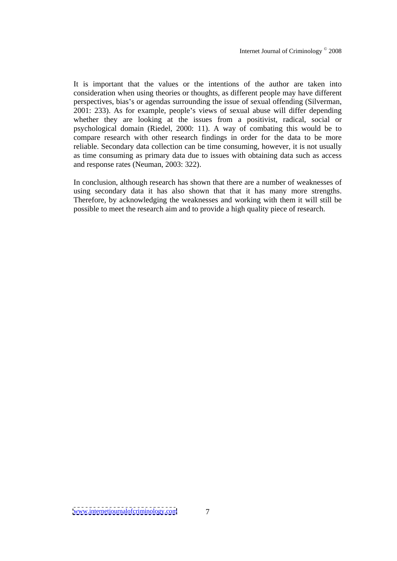It is important that the values or the intentions of the author are taken into consideration when using theories or thoughts, as different people may have different perspectives, bias's or agendas surrounding the issue of sexual offending (Silverman, 2001: 233). As for example, people's views of sexual abuse will differ depending whether they are looking at the issues from a positivist, radical, social or psychological domain (Riedel, 2000: 11). A way of combating this would be to compare research with other research findings in order for the data to be more reliable. Secondary data collection can be time consuming, however, it is not usually as time consuming as primary data due to issues with obtaining data such as access and response rates (Neuman, 2003: 322).

In conclusion, although research has shown that there are a number of weaknesses of using secondary data it has also shown that that it has many more strengths. Therefore, by acknowledging the weaknesses and working with them it will still be possible to meet the research aim and to provide a high quality piece of research.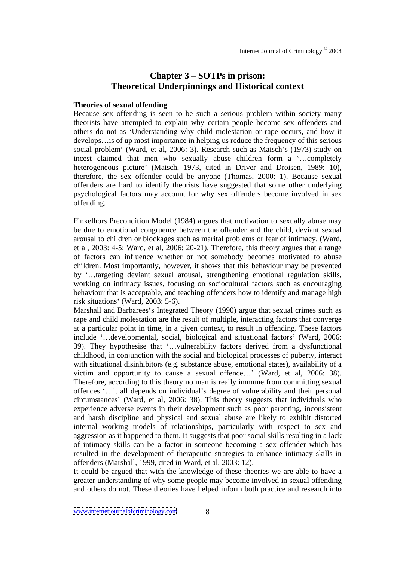# **Chapter 3 SOTPs in prison: Theoretical Underpinnings and Historical context**

## **Theories of sexual offending**

Because sex offending is seen to be such a serious problem within society many theorists have attempted to explain why certain people become sex offenders and others do not as Understanding why child molestation or rape occurs, and how it develops... is of up most importance in helping us reduce the frequency of this serious social problem' (Ward, et al, 2006: 3). Research such as Maisch's (1973) study on incest claimed that men who sexually abuse children form a '...completely heterogeneous picture' (Maisch, 1973, cited in Driver and Droisen, 1989: 10), therefore, the sex offender could be anyone (Thomas, 2000: 1). Because sexual offenders are hard to identify theorists have suggested that some other underlying psychological factors may account for why sex offenders become involved in sex offending.

Finkelhors Precondition Model (1984) argues that motivation to sexually abuse may be due to emotional congruence between the offender and the child, deviant sexual arousal to children or blockages such as marital problems or fear of intimacy. (Ward, et al, 2003: 4-5; Ward, et al, 2006: 20-21). Therefore, this theory argues that a range of factors can influence whether or not somebody becomes motivated to abuse children. Most importantly, however, it shows that this behaviour may be prevented by '...targeting deviant sexual arousal, strengthening emotional regulation skills, working on intimacy issues, focusing on sociocultural factors such as encouraging behaviour that is acceptable, and teaching offenders how to identify and manage high risk situations' (Ward,  $2003: 5-6$ ).

Marshall and Barbarees's Integrated Theory (1990) argue that sexual crimes such as rape and child molestation are the result of multiple, interacting factors that converge at a particular point in time, in a given context, to result in offending. These factors include '...developmental, social, biological and situational factors' (Ward, 2006: 39). They hypothesise that '...vulnerability factors derived from a dysfunctional childhood, in conjunction with the social and biological processes of puberty, interact with situational disinhibitors (e.g. substance abuse, emotional states), availability of a victim and opportunity to cause a sexual offence...' (Ward, et al,  $2006: 38$ ). Therefore, according to this theory no man is really immune from committing sexual offences '...it all depends on individual's degree of vulnerability and their personal circumstances (Ward, et al, 2006: 38). This theory suggests that individuals who experience adverse events in their development such as poor parenting, inconsistent and harsh discipline and physical and sexual abuse are likely to exhibit distorted internal working models of relationships, particularly with respect to sex and aggression as it happened to them. It suggests that poor socialskills resulting in a lack of intimacy skills can be a factor in someone becoming a sex offender which has resulted in the development of therapeutic strategies to enhance intimacy skills in offenders (Marshall, 1999, cited in Ward, et al, 2003: 12).

It could be argued that with the knowledge of these theories we are able to have a greater understanding of why some people may become involved in sexual offending and others do not. These theories have helped inform both practice and research into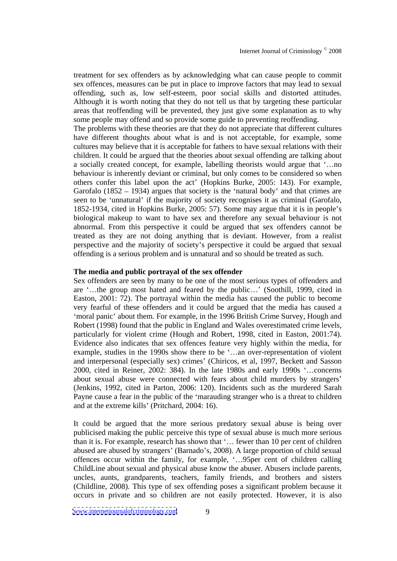treatment for sex offenders as by acknowledging what can cause people to commit sex offences, measures can be put in place to improve factors that may lead to sexual offending, such as, low self-esteem, poor social skills and distorted attitudes. Although it is worth noting that they do not tell us that by targeting these particular areas that reoffending will be prevented, they just give some explanation as to why some people may offend and so provide some guide to preventing reoffending.

The problems with these theories are that they do not appreciate that different cultures have different thoughts about what is and is not acceptable, for example, some cultures may believe that it is acceptable for fathers to have sexual relations with their children. It could be argued that the theories about sexual offending are talking about a socially created concept, for example, labelling theorists would argue that '...no behaviour is inherently deviant or criminal, but only comes to be considered so when others confer this label upon the act' (Hopkins Burke, 2005: 143). For example, Garofalo  $(1852 - 1934)$  argues that society is the 'natural body' and that crimes are seen to be 'unnatural' if the majority of society recognises it as criminal (Garofalo, 1852-1934, cited in Hopkins Burke, 2005: 57). Some may argue that it is in people s biological makeup to want to have sex and therefore any sexual behaviour is not abnormal. From this perspective it could be argued that sex offenders cannot be treated as they are not doing anything that is deviant.However, from a realist perspective and the majority of society s perspective it could be argued that sexual offending is a serious problem and is unnatural and so should be treated as such.

## **The media and public portrayal of the sex offender**

Sex offenders are seen by many to be one of the most serious types of offenders and are  $\ldots$  the group most hated and feared by the public  $\ldots$  (Soothill, 1999, cited in Easton, 2001: 72). The portrayal within the media has caused the public to become very fearful of these offenders and it could be argued that the media has caused a 'moral panic' about them. For example, in the 1996 British Crime Survey, Hough and Robert (1998) found that the public in England and Wales overestimated crime levels, particularly for violent crime (Hough and Robert, 1998, cited in Easton, 2001:74). Evidence also indicates that sex offences feature very highly within the media, for example, studies in the 1990s show there to be '...an over-representation of violent and interpersonal (especially sex) crimes' (Chiricos, et al, 1997, Beckett and Sasson 2000, cited in Reiner, 2002: 384). In the late 1980s and early 1990s  $\ldots$ concerns about sexual abuse were connected with fears about child murders by strangers (Jenkins, 1992, cited in Parton, 2006: 120). Incidents such as the murdered Sarah Payne cause a fear in the public of the 'marauding stranger who is a threat to children and at the extreme kills' (Pritchard, 2004: 16).

It could be argued that the more serious predatory sexual abuse is being over publicised making the public perceive this type of sexual abuse is much more serious than it is. For example, research has shown that '... fewer than 10 per cent of children abused are abused by strangers' (Barnado's, 2008). A large proportion of child sexual offences occur within the family, for example, '...95per cent of children calling ChildLine about sexual and physical abuse know the abuser. Abusers include parents, uncles, aunts, grandparents, teachers, family friends, and brothers and sisters (Childline, 2008). This type of sex offending posesa significant problem because it occurs in private and so children are not easily protected. However, it is also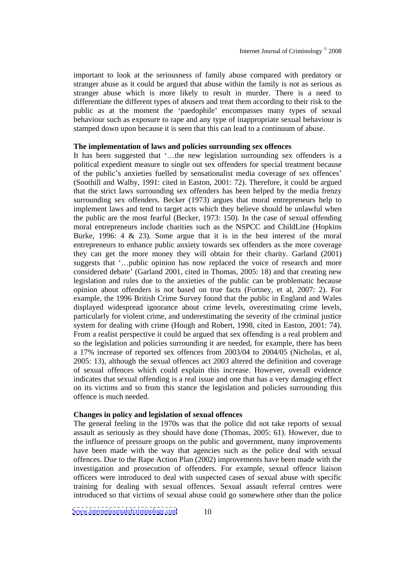important to look at the seriousness of family abuse compared with predatory or stranger abuse as it could be argued that abuse within the family is not as serious as stranger abuse which is more likely to result in murder. There is a need to differentiate the different types of abusers and treat them according to their risk to the public as at the moment the 'paedophile' encompasses many types of sexual behaviour such as exposure to rape and any type of inappropriate sexual behaviour is stamped down upon because it is seen that this can lead to a continuum of abuse.

## **The implementation of laws and policies surrounding sex offences**

It has been suggested that '...the new legislation surrounding sex offenders is a political expedient measure to single out sex offenders for special treatment because of the public's anxieties fuelled by sensationalist media coverage of sex offences' (Soothill and Walby, 1991: cited in Easton, 2001: 72). Therefore, it could be argued that the strict laws surrounding sex offenders has been helped by the media frenzy surrounding sex offenders. Becker (1973) argues that moral entrepreneurs help to implement laws and tend to target acts which they believe should be unlawful when the public are the most fearful (Becker,  $1973: 150$ ). In the case of sexual offending moral entrepreneurs include charities such as the NSPCC and ChildLine (Hopkins Burke, 1996: 4  $\&$  23). Some argue that it is in the best interest of the moral entrepreneurs to enhance public anxiety towardssex offenders as the more coverage they can get the more money they will obtain for their charity. Garland (2001) suggests that '...public opinion has now replaced the voice of research and more considered debate (Garland 2001, cited in Thomas, 2005: 18) and that creating new legislation and rules due to the anxieties of the public can be problematic because opinion about offenders is not based on true facts (Fortney, et al, 2007: 2). For example, the 1996 British Crime Survey found that the public in England and Wales displayed widespread ignorance about crime levels, overestimating crime levels, particularly for violent crime, and underestimating the severity of the criminal justice system for dealing with crime (Hough and Robert, 1998, cited in Easton, 2001: 74). From a realist perspective it could be argued that sex offending is a real problem and so the legislation and policies surrounding it are needed, for example, there has been a 17% increase of reported sex offences from 2003/04 to 2004/05 (Nicholas, et al, 2005: 13), although the sexual offences act 2003 altered the definition and coverage of sexual offences which could explain this increase. However, overall evidence indicates that sexual offending is a real issue and one that has a very damaging effect on its victims and so from this stance the legislation and policies surrounding this offence is much needed.

## **Changes in policy and legislation of sexual offences**

The general feeling in the 1970s was that the police did not take reports of sexual assault as seriously as they should have done (Thomas, 2005: 61). However, due to the influence of pressure groups on the public and government, many improvements have been made with the way that agencies such as the police deal with sexual offences. Due to the Rape Action Plan (2002) improvements have been made with the investigation and prosecution of offenders. For example, sexual offence liaison officers were introduced to deal with suspected cases of sexual abuse with specific training for dealing with sexual offences. Sexual assault referral centres were introduced so that victims of sexual abuse could go somewhere other than the police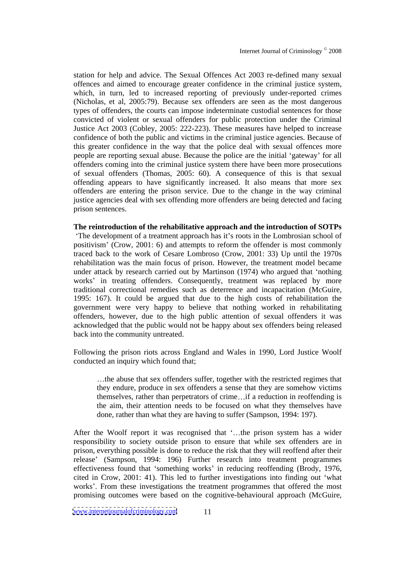station for help and advice. The Sexual Offences Act 2003 re-defined many sexual offences and aimed to encourage greater confidence in the criminal justice system, which, in turn, led to increased reporting of previously under-reported crimes (Nicholas, et al, 2005:79). Because sex offenders are seen as the most dangerous types of offenders, the courts can impose indeterminate custodial sentences for those convicted of violent or sexual offenders for public protection under the Criminal Justice Act 2003 (Cobley, 2005: 222-223). These measures have helped to increase confidence of both the public and victims in the criminal justice agencies. Because of this greater confidence in the way that the police deal with sexual offences more people are reporting sexual abuse. Because the police are the initial 'gateway' for all offenders coming into the criminal justice system there have been more prosecutions of sexual offenders (Thomas, 2005: 60). A consequence of this is that sexual offending appears to have significantly increased. It also means that more sex offenders are entering the prison service. Due to the change in the way criminal justice agencies deal with sex offending more offenders are being detected and facing prison sentences.

**The reintroduction of the rehabilitative approach and the introduction of SOTPs** The development of a treatment approach has it's roots in the Lombrosian school of positivism (Crow, 2001: 6) and attempts to reform the offender is most commonly traced back to the work of Cesare Lombroso (Crow, 2001: 33) Up until the 1970s rehabilitation was the main focus of prison. However, the treatment model became under attack by research carried out by Martinson (1974) who argued that 'nothing works' in treating offenders. Consequently, treatment was replaced by more traditional correctional remedies such as deterrence and incapacitation (McGuire, 1995: 167). It could be argued that due to the high costs of rehabilitation the government were very happy to believe that nothing worked in rehabilitating offenders, however, due to the high public attention of sexual offenders it was acknowledged that the public would not be happy about sex offenders being released back into the community untreated.

Following the prison riots across England and Wales in 1990, Lord Justice Woolf conducted an inquiry which found that;

...the abuse that sex offenders suffer, together with the restricted regimes that they endure, produce in sex offenders a sense that they are somehow victims themselves, rather than perpetrators of crime...if a reduction in reoffending is the aim, their attention needs to be focused on what they themselves have done, rather than what they are having to suffer (Sampson, 1994: 197).

After the Woolf report it was recognised that '...the prison system has a wider responsibility to society outside prison to ensure that while sex offenders are in prison, everything possible is done to reduce the risk that they will reoffend after their release' (Sampson, 1994: 196) Further research into treatment programmes effectiveness found that 'something works' in reducing reoffending (Brody, 1976, cited in Crow, 2001: 41). This led to further investigations into finding out what works'. From these investigations the treatment programmes that offered the most promising outcomes were based on the cognitive-behavioural approach (McGuire,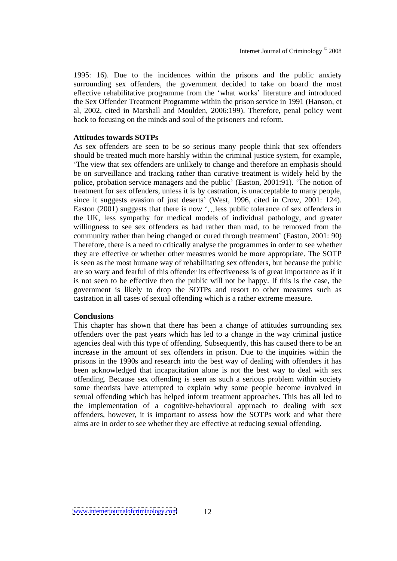1995: 16). Due to the incidences within the prisons and the public anxiety surrounding sex offenders, the government decided to take on board the most effective rehabilitative programme from the 'what works' literature and introduced the Sex Offender Treatment Programme within the prison service in 1991 (Hanson, et al, 2002, cited in Marshall and Moulden, 2006:199). Therefore, penal policy went back to focusing on the minds and soul of the prisoners and reform.

## **Attitudes towards SOTPs**

As sex offenders are seen to be so serious many people think that sex offenders should be treated much more harshly within the criminal justice system, for example, The view that sex offenders are unlikely to change and therefore an emphasis should be on surveillance and tracking rather than curative treatment is widely held by the police, probation service managers and the public' (Easton, 2001:91). 'The notion of treatment for sex offenders, unless it is by castration, is unacceptable to many people, since it suggests evasion of just deserts' (West, 1996, cited in Crow, 2001: 124). Easton  $(2001)$  suggests that there is now '...less public tolerance of sex offenders in the UK, less sympathy for medical models of individual pathology, and greater willingness to see sex offenders as bad rather than mad, to be removed from the community rather than being changed or cured through treatment' (Easton, 2001: 90) Therefore, there is a need to critically analyse the programmes in order to see whether they are effective or whether other measures would be more appropriate. The SOTP is seen as the most humane way of rehabilitating sex offenders, but because the public are so wary and fearful of this offender its effectiveness is of great importance as if it is not seen to be effective then the public will not be happy. If this is the case, the government is likely to drop the SOTPs and resort to other measures such as castration in all cases of sexual offending which is a rather extreme measure.

## **Conclusions**

This chapter has shown that there has been a change of attitudes surrounding sex offenders over the past years which has led to a change in the way criminal justice agencies deal with this type of offending. Subsequently, this has caused there to be an increase in the amount of sex offenders in prison. Due to the inquiries within the prisons in the 1990s and research into the best way of dealing with offenders it has been acknowledged that incapacitation alone is not the best way to deal with sex offending. Because sex offending is seen as such a serious problem within society some theorists have attempted to explain why some people become involved in sexual offending which has helped inform treatment approaches. This has all led to the implementation of a cognitive-behavioural approach to dealing with sex offenders, however, it is important to assess how the SOTPs work and what there aims are in order to see whether they are effective at reducing sexual offending.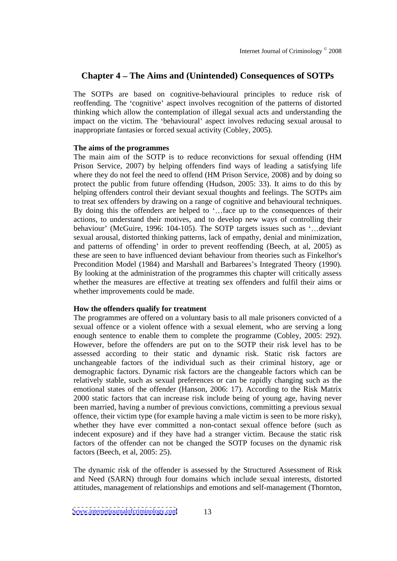## **Chapter 4 The Aims and (Unintended) Consequences of SOTPs**

The SOTPs are based on cognitive-behavioural principles to reduce risk of reoffending. The 'cognitive' aspect involves recognition of the patterns of distorted thinking which allow the contemplation of illegal sexual acts and understanding the impact on the victim. The 'behavioural' aspect involves reducing sexual arousal to inappropriate fantasies or forced sexual activity (Cobley, 2005).

## **The aims of the programmes**

The main aim of the SOTP is to reduce reconvictions for sexual offending (HM Prison Service, 2007) by helping offenders find ways of leading a satisfying life where they do not feel the need to offend (HM Prison Service, 2008) and by doing so protect the public from future offending (Hudson, 2005: 33). It aims to do this by helping offenders control their deviant sexual thoughts and feelings. The SOTPs aim to treat sex offenders by drawing on a range of cognitive and behavioural techniques. By doing this the offenders are helped to  $\cdot$ ...face up to the consequences of their actions, to understand their motives, and to develop new ways of controlling their behaviour' (McGuire, 1996: 104-105). The SOTP targets issues such as  $\dots$ deviant sexual arousal, distorted thinking patterns, lack of empathy, denial and minimization, and patterns of offending' in order to prevent reoffending (Beech, at al, 2005) as these are seen to have influenced deviant behaviour from theories such as Finkelhor's Precondition Model (1984) and Marshall and Barbarees's Integrated Theory (1990). By looking at the administration of the programmes this chapter will critically assess whether the measures are effective at treating sex offenders and fulfil their aims or whether improvements could be made.

## **How the offenders qualify for treatment**

The programmes are offered on a voluntary basis to all male prisoners convicted of a sexual offence or a violent offence with a sexual element, who are serving a long enough sentence to enable them to complete the programme (Cobley, 2005: 292). However, before the offenders are put on to the SOTP their risk level has to be assessed according to their static and dynamic risk. Static risk factors are unchangeable factors of the individual such as their criminal history, age or demographic factors. Dynamic risk factors are the changeable factors which can be relatively stable, such as sexual preferences or can be rapidly changing such as the emotional states of the offender (Hanson, 2006: 17). According to the Risk Matrix 2000 static factors that can increase risk include being of young age, having never been married, having a number of previous convictions, committing a previous sexual offence, their victim type (for example having a male victim isseen to be more risky), whether they have ever committed a non-contact sexual offence before (such as indecent exposure) and if they have had a stranger victim. Because the static risk factors of the offender can not be changed the SOTP focuses on the dynamic risk factors (Beech, et al, 2005: 25).

The dynamic risk of the offender is assessed by the Structured Assessment of Risk and Need (SARN) through four domains which include sexual interests, distorted attitudes, management of relationships and emotions and self-management (Thornton,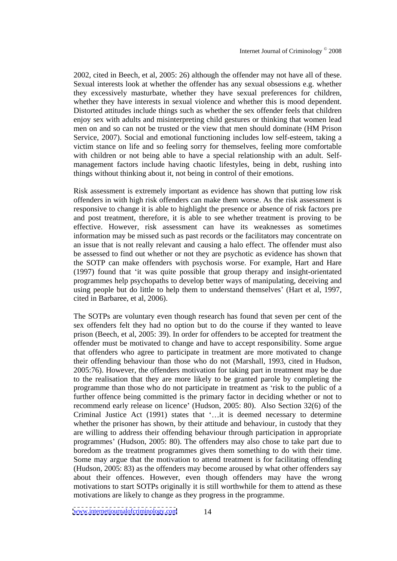2002, cited in Beech, et al, 2005: 26) although the offender may not have all of these. Sexual interests look at whether the offender has any sexual obsessions e.g. whether they excessively masturbate, whether they have sexual preferences for children, whether they have interests in sexual violence and whether this is mood dependent. Distorted attitudes include things such as whether the sex offender feels that children enjoy sex with adults and misinterpreting child gestures or thinking that women lead men on and so can not be trusted or the view that men should dominate (HM Prison Service, 2007). Social and emotional functioning includes low self-esteem, taking a victim stance on life and so feeling sorry for themselves, feeling more comfortable with children or not being able to have a special relationship with an adult. Self management factors include having chaotic lifestyles, being in debt, rushing into things without thinking about it, not being in control of their emotions.

Risk assessment is extremely important as evidence has shown that putting low risk offenders in with high risk offenders can make them worse. As the risk assessment is responsive to change it is able to highlight the presence or absence of risk factors pre and post treatment, therefore, it is able to see whether treatment is proving to be effective. However, risk assessment can have its weaknesses as sometimes information may be missed such as past records or the facilitators may concentrate on an issue that is not really relevant and causing a halo effect. The offender must also be assessed to find out whether or not they are psychotic as evidence has shown that the SOTP can make offenders with psychosis worse. For example, Hart and Hare (1997) found that 'it was quite possible that group therapy and insight-orientated programmes help psychopaths to develop better ways of manipulating, deceiving and using people but do little to help them to understand themselves (Hart et al, 1997, cited in Barbaree, et al, 2006).

The SOTPs are voluntary even though research has found that seven per cent of the sex offenders felt they had no option but to do the course if they wanted to leave prison (Beech, et al, 2005: 39). In order for offenders to be accepted for treatment the offender must be motivated to change and have to accept responsibility. Some argue that offenders who agree to participate in treatment are more motivated to change their offending behaviour than those who do not(Marshall, 1993, cited in Hudson, 2005:76). However, the offenders motivation for taking part in treatment may be due to the realisation that they are more likely to be granted parole by completing the programme than those who do not participate in treatment as 'risk to the public of a further offence being committed is the primary factor in deciding whether or not to recommend early release on licence' (Hudson, 2005: 80). Also Section 32(6) of the Criminal Justice Act (1991) states that '...it is deemed necessary to determine whether the prisoner has shown, by their attitude and behaviour, in custody that they are willing to address their offending behaviour through participation in appropriate programmes (Hudson, 2005: 80). The offenders may also chose to take part due to boredom as the treatment programmes gives them something to do with their time. Some may argue that the motivation to attend treatment is for facilitating offending (Hudson, 2005: 83) as the offenders may become aroused by what other offenders say about their offences. However, even though offenders may have the wrong motivations to start SOTPs originally it is still worthwhile for them to attend as these motivations are likely to change as they progress in the programme.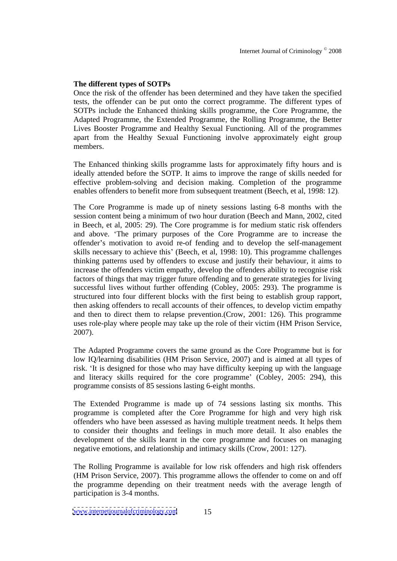## **The different types of SOTPs**

Once the risk of the offender has been determined and they have taken the specified tests, the offender can be put onto the correct programme. The different types of SOTPs include the Enhanced thinking skills programme, the Core Programme, the Adapted Programme, the Extended Programme, the Rolling Programme, the Better Lives Booster Programme and Healthy Sexual Functioning. All of the programmes apart from the Healthy Sexual Functioning involve approximately eight group members.

The Enhanced thinking skills programme lasts for approximately fifty hours and is ideally attended before the SOTP. It aims to improve the range of skills needed for effective problem-solving and decision making. Completion of the programme enables offenders to benefit more from subsequent treatment (Beech, et al, 1998: 12).

The Core Programme is made up of ninety sessions lasting 6-8 months with the session content being a minimum of two hour duration (Beech and Mann, 2002, cited in Beech, et al, 2005: 29). The Core programme is for medium static risk offenders and above. The primary purposes of the Core Programme are to increase the offender's motivation to avoid re-of fending and to develop the self-management skills necessary to achieve this' (Beech, et al. 1998: 10). This programme challenges thinking patterns used by offenders to excuse and justify their behaviour, it aims to increase the offenders victim empathy, develop the offenders ability to recognise risk factors of things that may trigger future offending and to generate strategies for living successful lives without further offending (Cobley, 2005: 293). The programme is structured into four different blocks with the first being to establish group rapport, then asking offenders to recall accounts of their offences, to develop victim empathy and then to direct them to relapse prevention.(Crow, 2001: 126). This programme uses role-play where people may take up the role of their victim (HM Prison Service, 2007).

The Adapted Programme covers the same ground as the Core Programme but is for low IQ/learning disabilities (HM Prison Service, 2007) and is aimed at all types of risk. It is designed for those who may have difficulty keeping up with the language and literacy skills required for the core programme' (Cobley, 2005: 294), this programme consists of 85 sessions lasting 6-eight months.

The Extended Programme is made up of 74 sessions lasting six months. This programme is completed after the Core Programme for high and very high risk offenders who have been assessed as having multiple treatment needs. It helps them to consider their thoughts and feelings in much more detail. It also enables the development of the skills learnt in the core programme and focuses on managing negative emotions, and relationship and intimacy skills (Crow, 2001: 127).

The Rolling Programme is available for low risk offenders and high risk offenders (HM Prison Service, 2007). This programme allows the offender to come on and off the programme depending on their treatment needs with the average length of participation is 3-4 months.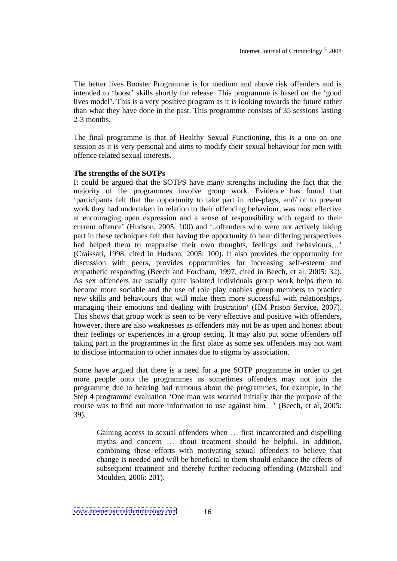The better lives Booster Programme is for medium and above risk offenders and is intended to 'boost' skills shortly for release. This programme is based on the 'good lives model'. This is a very positive program as it is looking towards the future rather than what they have done in the past. This programme consists of 35 sessions lasting 2-3 months.

The final programme is that of Healthy Sexual Functioning, this is a one on one session as it is very personal and aims to modify their sexual behaviour for men with offence related sexual interests.

## **The strengths of the SOTPs**

It could be argued that the SOTPS have many strengths including thefact that the majority of the programmes involve group work. Evidence has found that participants felt that the opportunity to take part in role-plays, and/ or to present work they had undertaken in relation to their offending behaviour, was most effective at encouraging open expression and a sense of responsibility with regard to their current offence' (Hudson, 2005: 100) and '..offenders who were not actively taking part in these techniques felt that having the opportunity to hear differing perspectives had helped them to reappraise their own thoughts, feelings and behaviours...' (Craissati, 1998, cited in Hudson, 2005: 100). It also provides the opportunity for discussion with peers, provides opportunities for increasing self-esteem and empathetic responding (Beech and Fordham, 1997, cited in Beech, et al, 2005: 32). As sex offenders are usually quite isolated individuals group work helps them to become more sociable and the use of role play enables group members to practice new skills and behaviours that will make them more successful with relationships, managing their emotions and dealing with frustration' (HM Prison Service, 2007).<br>This shows that group work is seen to be very effective and positive with offenders, however, there are also weaknesses as offenders may not be as open and honest about their feelings or experiences in a group setting. It may also put some offenders off taking part in the programmes in the first place as some sex offenders may not want to disclose information to other inmates due to stigma by association.

Some have argued that there is a need for a pre SOTP programme in order to get more people onto the programmes as sometimes offenders may not join the programme due to hearing bad rumours about the programmes, for example, in the Step 4 programme evaluation 'One man was worried initially that the purpose of the course was to find out more information to use against  $\lim...$  (Beech, et al. 2005: 39).

Gaining access to sexual offenders when  $\ldots$  first incarcerated and dispelling myths and concern ... about treatment should be helpful. In addition, combining these efforts with motivating sexual offenders to believe that change is needed and will be beneficial to them should enhance the effects of subsequent treatment and thereby further reducing offending (Marshall and Moulden, 2006: 201).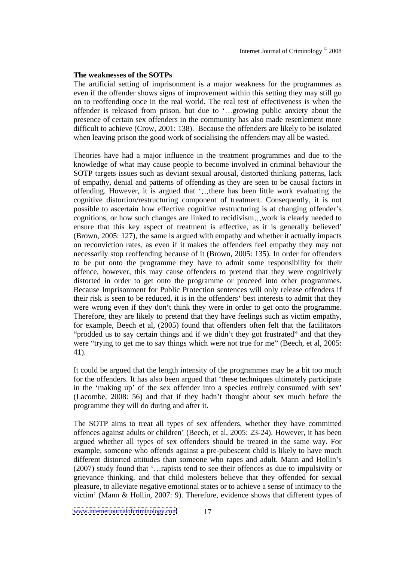## **The weaknesses of the SOTPs**

The artificial setting of imprisonment is a major weakness for the programmes as even if the offender shows signs of improvement within this setting they may still go on to reoffending once in the real world. The real test of effectiveness is when the offender is released from prison, but due to '...growing public anxiety about the presence of certain sex offenders in the community has also made resettlement more difficult to achieve (Crow, 2001: 138). Because the offenders are likely to be isolated when leaving prison the good work of socialising the offenders may all be wasted.

Theories have had a major influence in the treatment programmes and due to the knowledge of what may cause people to become involved in criminal behaviour the SOTP targets issues such as deviant sexual arousal, distorted thinking patterns, lack of empathy, denial and patterns of offending as they are seen to be causal factors in offending. However, it is argued that '...there has been little work evaluating the cognitive distortion/restructuring component of treatment. Consequently, it is not possible to ascertain how effective cognitive restructuring is at changing offender's cognitions, or how such changes are linked to recidivism...work is clearly needed to ensure that this key aspect of treatment is effective, as it is generally believed (Brown, 2005: 127), the same is argued with empathy and whether it actually impacts on reconviction rates, as even if it makes the offenders feel empathy they may not necessarily stop reoffending because of it (Brown, 2005: 135). In order for offenders to be put onto the programme they have to admit some responsibility for their offence, however, this may cause offenders to pretend that they were cognitively distorted in order to get onto the programme or proceed into other programmes. Because Imprisonment for Public Protection sentences will only release offenders if their risk is seen to be reduced, it is in the offenders' best interests to admit that they were wrong even if they don't think they were in order to get onto the programme. Therefore, they are likely to pretend that they have feelings such as victim empathy, for example, Beech et al, (2005) found that offenders often felt that the facilitators "prodded us to say certain things and if we didn't they got frustrated" and that they were "trying to get me to say things which were not true for me" (Beech, et al, 2005: 41).

It could be argued that the length intensity of the programmes may be a bit too much for the offenders. It has also been argued that 'these techniques ultimately participate in the 'making up' of the sex offender into a species entirely consumed with sex' (Lacombe, 2008: 56) and that if they hadn't thought about sex much before the programme they will do during and after it.

The SOTP aims to treat all types of sex offenders, whether they have committed offences against adults or children' (Beech, et al, 2005: 23-24). However, it has been argued whether all types of sex offenders should be treated in the sameway. For example, someone who offends against a pre-pubescent child is likely to have much different distorted attitudes than someone who rapes and adult. Mann and Hollin's  $(2007)$  study found that '... rapists tend to see their offences as due to impulsivity or grievance thinking, and that child molesters believe that they offended for sexual pleasure, to alleviate negative emotional states or to achieve a sense of intimacy to the victim' (Mann & Hollin, 2007: 9). Therefore, evidence shows that different types of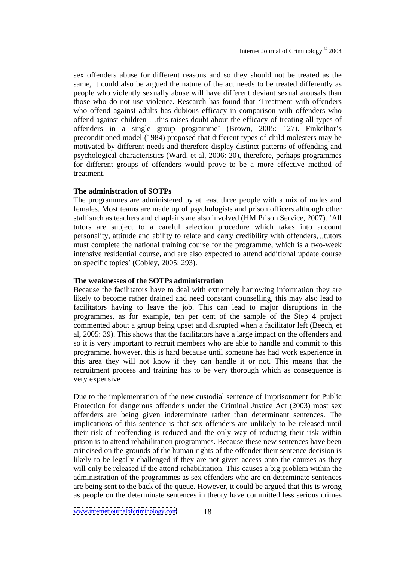sex offenders abuse for different reasons and so they should not be treated as the same, it could also be argued the nature of the act needs to be treated differently as people who violently sexually abuse will have different deviant sexual arousals than those who do not use violence. Research has found that Treatment with offenders who offend against adults has dubious efficacy in comparison with offenders who offend against children this raises doubt about the efficacy of treating all types of offenders in a single group programme' (Brown, 2005: 127). Finkelhor's preconditioned model (1984) proposed that different types of child molesters may be motivated by different needs and therefore display distinct patterns of offending and psychological characteristics (Ward, et al, 2006: 20), therefore, perhaps programmes for different groups of offenders would prove to be a more effective method of treatment.

## **The administration of SOTPs**

The programmes are administered by at least three people with a mix of males and females. Most teams are made up of psychologists and prison officers although other staff such as teachers and chaplains are also involved (HM Prison Service, 2007). All tutors are subject to a careful selection procedure which takes into account personality, attitude and ability to relate and carry credibility with offenders tutors must complete the national training course for the programme, which is a two-week intensive residential course, and are also expected to attend additional update course on specific topics (Cobley, 2005: 293).

#### **The weaknesses of the SOTPs administration**

Because the facilitators have to deal with extremely harrowing information they are likely to become rather drained and need constant counselling, this may also lead to facilitators having to leave the job. This can lead to major disruptions in the programmes, as for example, ten per cent of the sample of the Step 4 project commented about a group being upset and disrupted when a facilitator left (Beech, et al, 2005: 39). This shows that the facilitators have a large impact on the offenders and so it is very important to recruit members who are able to handle and commit to this programme, however, this is hard because until someone has had work experience in this area they will not know if they can handle it or not. This means that the recruitment process and training has to be very thorough which as consequence is very expensive

Due to the implementation of the new custodial sentence of Imprisonment for Public Protection for dangerous offenders under the Criminal Justice Act (2003) most sex offenders are being given indeterminate rather than determinant sentences. The implications of this sentence is that sex offenders are unlikely to be released until their risk of reoffending is reduced and the only way of reducing their risk within prison is to attend rehabilitation programmes. Because these new sentences have been criticised on the grounds of the human rights of the offender their sentence decision is likely to be legally challenged if they are not given access onto the courses as they will only be released if the attend rehabilitation. This causes a big problem within the administration of the programmes as sex offenders who are on determinate sentences are being sent to the back of the queue. However, it could be argued that this is wrong as people on the determinate sentences in theory have committed less serious crimes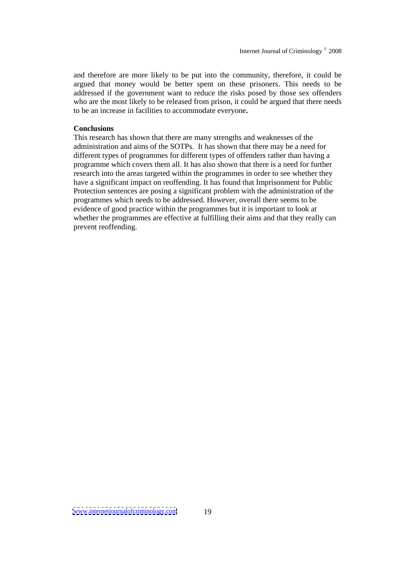and therefore are more likely to be put into the community, therefore, it could be argued that money would be better spent on these prisoners. This needs to be addressed if the government want to reduce the risks posed by those sex offenders who are the most likely to be released from prison, it could be argued that there needs to be an increase in facilities to accommodate everyone**.**

#### **Conclusions**

This research has shown that there are many strengths and weaknesses of the administration and aims of the SOTPs. It has shown that there may be a need for different types of programmes for different types of offenders rather than having a programme which covers them all. It has also shown that there is a need for further research into the areas targeted within the programmes in order to see whether they have a significant impact on reoffending. It has found that Imprisonment for Public Protection sentences are posing a significant problem with the administration of the programmes which needs to be addressed. However, overall there seems to be evidence of good practice within the programmes but it is important to look at whether the programmes are effective at fulfilling their aims and that they really can prevent reoffending.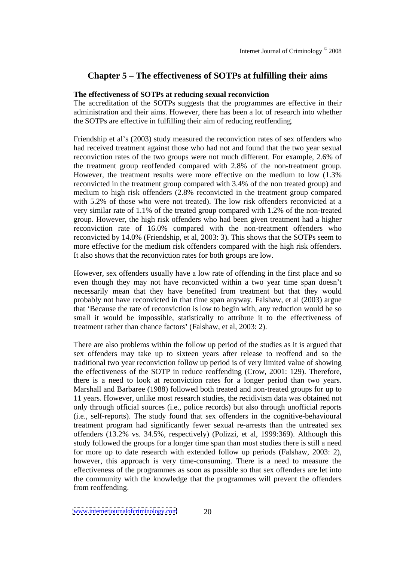# **Chapter 5 The effectiveness of SOTPs at fulfilling their aims**

## **The effectiveness of SOTPs at reducing sexual reconviction**

The accreditation of the SOTPs suggests that the programmes are effective in their administration and their aims. However, there has been a lot of research into whether the SOTPs are effective in fulfilling their aim of reducing reoffending.

Friendship et al's (2003) study measured the reconviction rates of sex offenders who had received treatment against those who had not and found that the two year sexual reconviction rates of the two groups were not much different. For example, 2.6% of the treatment group reoffended compared with 2.8% of the non-treatment group. However, the treatment results were more effective on the medium to low (1.3% reconvicted in the treatment group compared with 3.4% of the non treated group) and medium to high risk offenders (2.8% reconvicted in the treatment group compared with 5.2% of those who were not treated). The low risk offenders reconvicted at a very similar rate of 1.1% of the treated group compared with 1.2% of the non-treated group. However, the high risk offenders who had been given treatment had a higher reconviction rate of 16.0% compared with the non-treatment offenders who reconvicted by 14.0% (Friendship, et al, 2003: 3). This shows that the SOTPs seem to more effective for the medium risk offenders compared with the high risk offenders. It also shows that the reconviction rates for both groups are low.

However, sex offenders usually have a low rate of offending in the first place and so even though they may not have reconvicted within a two year time span doesn't necessarily mean that they have benefited from treatment but that they would probably not have reconvicted in that time span anyway. Falshaw, et al (2003) argue that 'Because the rate of reconviction is low to begin with, any reduction would be so small it would be impossible, statistically to attribute it to the effectiveness of treatment rather than chance factors' (Falshaw, et al, 2003: 2).

There are also problems within the follow up period of the studies as it is argued that sex offenders may take up to sixteen years after release to reoffend and so the traditional two year reconviction follow up period is of very limited value ofshowing the effectiveness of the SOTP in reduce reoffending (Crow, 2001: 129). Therefore, there is a need to look at reconviction rates for a longer period than two years. Marshall and Barbaree (1988) followed both treated and non-treated groups for up to 11 years. However, unlike most research studies, the recidivism data was obtained not only through official sources (i.e., police records) but also through unofficial reports (i.e., self-reports). The study found that sex offenders in the cognitive-behavioural treatment program had significantly fewer sexual re-arrests than the untreated sex offenders (13.2% vs. 34.5%, respectively) (Polizzi, et al, 1999:369). Although this study followed the groups for a longer time span than most studies there is still a need for more up to date research with extended follow up periods (Falshaw, 2003: 2), however, this approach is very time-consuming. There is a need to measure the effectiveness of the programmes as soon as possible so that sex offenders are let into the community with the knowledge that the programmes will prevent the offenders from reoffending.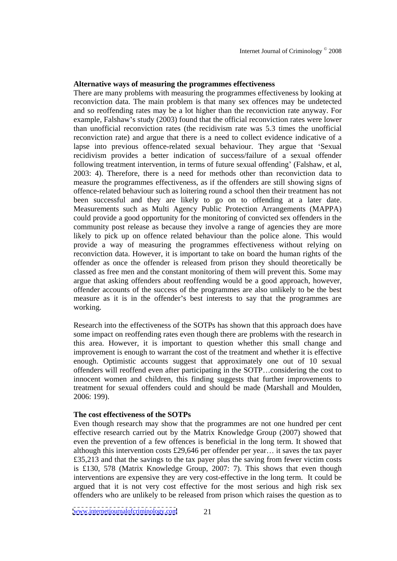## **Alternative ways of measuring the programmes effectiveness**

There are many problems with measuring the programmes effectiveness by looking at reconviction data. The main problem is that many sex offences may be undetected and so reoffending rates may be a lot higher than the reconviction rate anyway.For example, Falshaw's study (2003) found that the official reconviction rates were lower than unofficial reconviction rates (the recidivism rate was 5.3 times the unofficial reconviction rate) and argue that there is a need to collect evidence indicative of a lapse into previous offence-related sexual behaviour. They argue that 'Sexual recidivism provides a better indication of success/failure of a sexual offender following treatment intervention, in terms of future sexual offending' (Falshaw, et al, 2003: 4). Therefore, there is a need for methods other than reconviction data to measure the programmes effectiveness, as if the offenders are still showing signs of offence-related behaviour such as loitering round a school then their treatment has not been successful and they are likely to go on to offending at a later date. Measurements such as Multi Agency Public Protection Arrangements (MAPPA) could provide a good opportunity for the monitoring of convicted sex offenders in the community post release as because they involve a range of agencies they are more likely to pick up on offence related behaviour than the police alone. This would provide a way of measuring the programmes effectivenesswithout relying on reconviction data. However, it is important to take on board the human rights of the offender as once the offender is released from prison they should theoretically be classed as free men and the constant monitoring of them will prevent this. Some may argue that asking offenders about reoffending would be a good approach, however, offender accounts of the success of the programmes are also unlikely to be the best measure as it is in the offender's best interests to say that the programmes are working.

Research into the effectiveness of the SOTPs has shown that this approach does have some impact on reoffending rates even though there are problems with the research in this area. However, it is important to question whether this small change and improvement is enough to warrant the cost of the treatment and whether it is effective enough. Optimistic accounts suggest that approximately one out of 10 sexual offenders will reoffend even after participating in the SOTP...considering the cost to innocent women and children, this finding suggests that further improvements to treatment for sexual offenders could and should be made (Marshall and Moulden, 2006: 199).

#### **The cost effectiveness of the SOTPs**

Even though research may show that the programmes are not one hundred per cent effective research carried out by the Matrix Knowledge Group (2007) showed that even the prevention of a few offences is beneficial in the long term. It showed that although this intervention costs  $£29,646$  per offender per year... it saves the tax payer £35,213 and that the savings to the tax payer plus the saving from fewer victim costs is £130, 578 (Matrix Knowledge Group, 2007: 7). This shows that even though interventions are expensive they are very cost-effective in the long term. It could be argued that it is not very cost effective for the most serious and high risk sex offenders who are unlikely to be released from prison which raises the question as to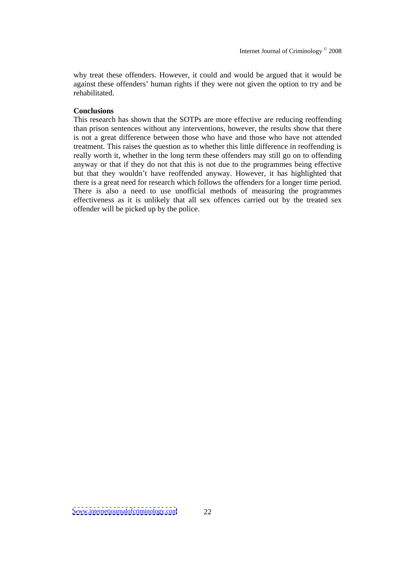why treat these offenders. However, it could and would be argued that it would be against these offenders' human rights if they were not given the option to try and be rehabilitated.

## **Conclusions**

This research has shown that the SOTPs are more effective are reducing reoffending than prison sentences without any interventions, however, the results show that there is not a great difference between those who have and those who have not attended treatment. This raises the question as to whether this little difference in reoffending is really worth it, whether in the long term these offenders may still go on to offending anyway or that if they do not that this is not due to the programmes being effective but that they wouldn't have reoffended anyway. However, it has highlighted that there is a great need for research which follows the offenders for a longer time period. There is also a need to use unofficial methods of measuring the programmes effectiveness as it is unlikely that all sex offences carried out by the treated sex offender will be picked up by the police.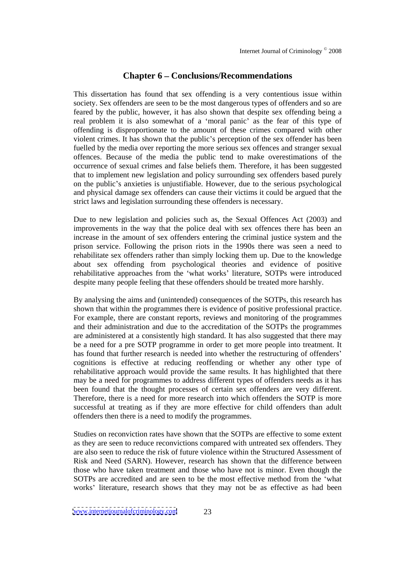## **Chapter 6 Conclusions/Recommendations**

This dissertation has found that sex offending is a very contentious issue within society. Sex offenders are seen to be the most dangerous types of offenders and so are feared by the public, however, it has also shown that despite sex offending being a real problem it is also somewhat of a 'moral panic' as the fear of this type of offending is disproportionate to the amount of these crimes compared with other violent crimes. It has shown that the public's perception of the sex offender has been fuelled by the media over reporting the more serious sex offences and stranger sexual offences. Because of the media the public tend to make overestimations of the occurrence of sexual crimes and false beliefs them. Therefore, it has been suggested that to implement new legislation and policy surrounding sex offenders based purely on the public's anxieties is unjustifiable. However, due to the serious psychological and physical damage sex offenders can cause their victims it could be argued that the strict laws and legislation surrounding these offenders is necessary.

Due to new legislation and policies such as, the Sexual Offences Act (2003) and improvements in the way that the police deal with sex offences there has been an increase in the amount of sex offenders entering the criminal justice system and the prison service. Following the prison riots in the 1990s there was seen a need to rehabilitate sex offenders rather than simply locking them up. Due to the knowledge about sex offending from psychological theories and evidence of positive rehabilitative approaches from the 'what works' literature, SOTPs were introduced despite many people feeling that these offenders should be treated more harshly.

By analysing the aims and (unintended) consequences of the SOTPs, this research has shown that within the programmes there is evidence of positive professional practice. For example, there are constant reports, reviews and monitoring of the programmes and their administration and due to the accreditation of the SOTPs the programmes are administered at a consistently high standard. It has also suggested that there may be a need for a pre SOTP programme in order to get more people into treatment. It has found that further research is needed into whether the restructuring of offenders' cognitions is effective at reducing reoffending or whether any other type of rehabilitative approach would provide the same results. It has highlighted that there may be a need for programmes to address different types of offenders needs as it has been found that the thought processes of certain sex offenders are very different. Therefore, there is a need for more research into which offenders the SOTP is more successful at treating as if they are more effective for child offenders than adult offenders then there is a need to modify the programmes.

Studies on reconviction rates have shown that the SOTPs are effective to some extent as they are seen to reduce reconvictions compared with untreated sex offenders. They are also seen to reduce the risk of future violence within the Structured Assessment of Risk and Need (SARN). However, research has shown that the difference between those who have taken treatment and those who have not is minor. Even though the SOTPs are accredited and are seen to be the most effective method from the what works' literature, research shows that they may not be as effective as had been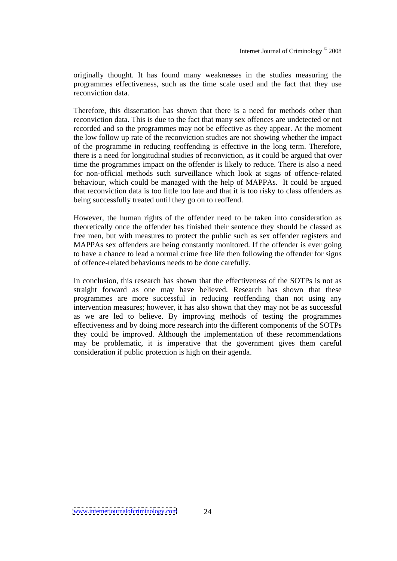originally thought. It has found many weaknesses in the studies measuring the programmes effectiveness, such as the time scale used and the fact that they use reconviction data.

Therefore, this dissertation has shown that there is a need for methods other than reconviction data. This is due to the fact that many sex offences are undetected or not recorded and so the programmes may not be effective as they appear. At the moment the low follow up rate of the reconviction studies are not showing whether the impact of the programme in reducing reoffending is effective in the long term. Therefore, there is a need for longitudinal studies of reconviction, as it could be argued that over time the programmes impact on the offender is likely to reduce. There is also a need for non-official methods such surveillance which look at signs of offence-related behaviour, which could be managed with the help of MAPPAs. It could be argued that reconviction data is too little too late and that it is too risky to class offenders as being successfully treated until they go on to reoffend.

However, the human rights of the offender need to be taken into consideration as theoretically once the offender has finished their sentence they should be classed as free men, but with measures to protect the public such as sex offender registers and MAPPAs sex offenders are being constantly monitored. If the offender is ever going to have a chance to lead a normal crime free life then following the offender for signs of offence-related behaviours needs to be done carefully.

In conclusion, this research has shown that the effectiveness of the SOTPs is not as straight forward as one may have believed. Research has shown that these programmes are more successful in reducing reoffending than not using any intervention measures; however, it has also shown that they may not be as successful as we are led to believe. By improving methods of testing the programmes effectiveness and by doing more research into the different components of the SOTPs they could be improved. Although the implementation of these recommendations may be problematic, it is imperative that the government gives them careful consideration if public protection is high on their agenda.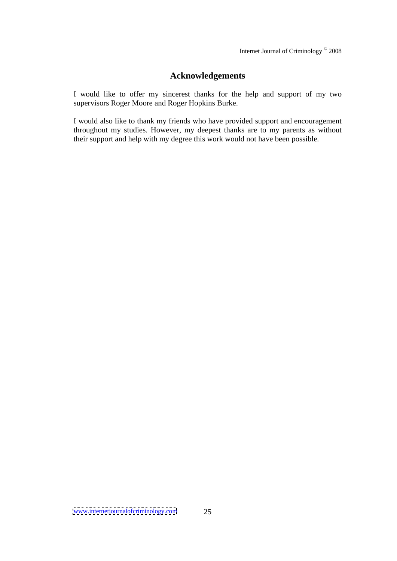# **Acknowledgements**

I would like to offer my sincerest thanks for the help and support of my two supervisors Roger Moore and Roger Hopkins Burke.

I would also like to thank my friends who have provided support and encouragement throughout my studies. However, my deepest thanks are to my parents as without their support and help with my degree this work would not have been possible.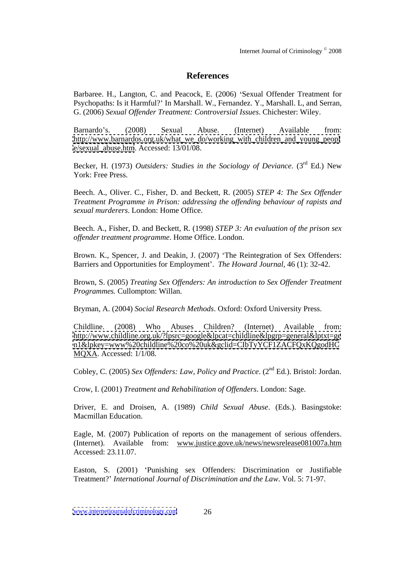# **References**

Barbaree. H., Langton, C. and Peacock, E. (2006) 'Sexual Offender Treatment for Psychopaths: Is it Harmful? In Marshall. W., Fernandez. Y., Marshall. L, and Serran, G. (2006) *Sexual Of ender Treatment: Controversial Issues*. Chichester: Wiley.

Barnardo's. (2008) Sexual Abuse. (Internet) Available from: [http://www.barnardos.org.uk/what\\_we\\_do/working\\_with\\_children\\_and\\_young\\_peopl](http://www.barnardos.org.uk/what_we_do/working_with_children_and_young_peopl) [e/sexual\\_abuse.htm](e/sexual_abuse.htm). Accessed: 13/01/08.

Becker, H. (1973) *Outsiders: Studies in the Sociology of Deviance*. (3 rd Ed.) New York: Free Press.

Beech. A., Oliver. C., Fisher, D. and Beckett, R. (2005) *STEP 4: The Sex Offender Treatment Programme in Prison: addressing the of ending behaviour of rapists and sexual murderers*. London: Home Office.

Beech. A., Fisher, D. and Beckett, R. (1998) *STEP 3: An evaluation of the prison sex of ender treatment programme*. Home Office. London.

Brown. K., Spencer, J. and Deakin, J. (2007) 'The Reintegration of Sex Offenders: Barriers and Opportunities for Employment . *The Howard Journal,* 46 (1): 32-42.

Brown, S. (2005) *Treating Sex Of enders: An introduction to Sex Of ender Treatment Programmes.* Cullompton: Willan.

Bryman, A. (2004) *Social Research Methods*. Oxford: Oxford University Press.

Childline. (2008) Who Abuses Children? (Internet) Available from: <http://www.childline.org.uk/?lpsrc=google&lpcat=childline&lpgrp=general&lptxt=ge> <n1&lpkey=www%20childline%20co%20uk&gclid=CIbTyYCF1ZACFQxKQgodHC> MQXA. Accessed: 1/1/08.

Cobley, C. (2005) *Sex Offenders: Law, Policy and Practice.* (2<sup>nd</sup> Ed.). Bristol: Jordan. <sup>nd</sup> Ed.). Bristol: Jordan.

Crow, I. (2001) *Treatment and Rehabilitation of Of enders*. London: Sage.

Driver, E. and Droisen, A. (1989) *Child Sexual Abuse*. (Eds.). Basingstoke: Macmillan Education.

Eagle, M. (2007) Publication of reports on the management of serious offenders. (Internet). Available from: www.justice.gove.uk/news/newsrelease081007a.htm Accessed: 23.11.07.

Easton, S. (2001) Punishing sex Offenders: Discrimination or Justifiable Treatment? *International Journal of Discrimination and the Law*. Vol. 5: 71-97.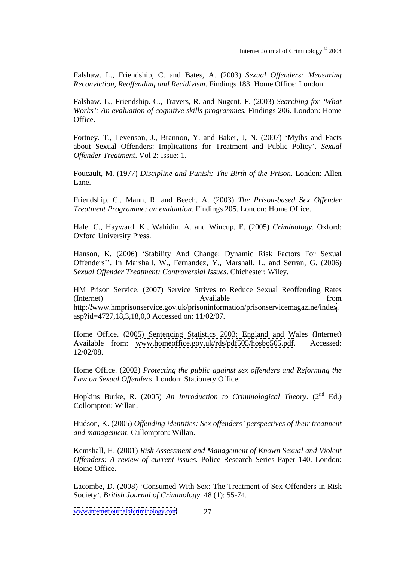Falshaw. L., Friendship, C. and Bates, A. (2003) *Sexual Offenders: Measuring Reconviction, Reof ending and Recidivism*. Findings 183. Home Office: London.

Falshaw. L., Friendship. C., Travers, R. and Nugent, F. (2003) *Searching for What Works : An evaluation of cognitive skills programmes.* Findings 206. London: Home Office.

Fortney. T., Levenson, J., Brannon, Y. and Baker, J. N. (2007) 'Myths and Facts about Sexual Offenders: Implications for Treatment and Public Policy . *Sexual Of ender Treatment*. Vol 2: Issue: 1.

Foucault, M. (1977) *Discipline and Punish: The Birth of the Prison*. London: Allen Lane.

Friendship. C., Mann, R. and Beech, A. (2003) *The Prison-based Sex Offender Treatment Programme: an evaluation*. Findings 205. London: Home Office.

Hale. C., Hayward. K., Wahidin, A. and Wincup, E. (2005) *Criminology*. Oxford: Oxford University Press.

Hanson, K. (2006) 'Stability And Change: Dynamic Risk Factors For Sexual Offenders". In Marshall. W., Fernandez, Y., Marshall, L. and Serran, G. (2006) *Sexual Of ender Treatment: Controversial Issues*. Chichester: Wiley.

HM Prison Service. (2007) Service Strives to Reduce Sexual Reoffending Rates (Internet) Available from  $\alpha$ http:/[/www.hmprisonservice.gov.uk/prisoninformation/prisonservicemagazine/index](http://www.hmprisonservice.gov.uk/prisoninformation/prisonservicemagazine/index). asp?id=4727,18,3,18,0,0 Accessed on: 11/02/07.

Home Office. (2005) Sentencing Statistics 2003: England and Wales (Internet) Available from: [www.homeoffice.gov.uk/rds/pdf505/hosbo505.pdf.](http://www.homeoffice.gov.uk/rds/pdf505/hosbo505.pdf) Accessed: 12/02/08.

Home Office. (2002) *Protecting the public against sex of enders and Reforming the Law on Sexual Of enders*. London: Stationery Office.

Hopkins Burke, R. (2005) *An Introduction to Criminological Theory*. (2  $\mathrm{nd}$  Ed.) Collompton: Willan.

Hudson, K. (2005) *Of ending identities: Sex of enders perspectives of their treatment and management*. Cullompton: Willan.

Kemshall, H. (2001) *Risk Assessment and Management of Known Sexual and Violent Of enders: A review of current issues.* Police Research Series Paper 140. London: Home Office.

Lacombe, D. (2008) 'Consumed With Sex: The Treatment of Sex Offenders in Risk Society . *British Journal of Criminology*. 48 (1): 55-74.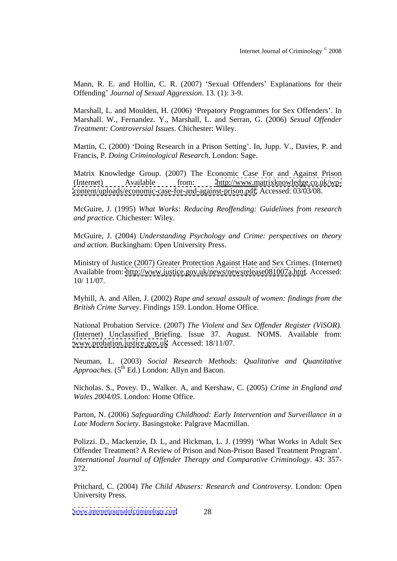Mann, R. E. and Hollin, C. R. (2007) 'Sexual Offenders' Explanations for their Offending' *Journal of Sexual Aggression*. 13. (1): 3-9.

Marshall, L. and Moulden, H. (2006) 'Prepatory Programmes for Sex Offenders'. In Marshall. W., Fernandez. Y., Marshall, L. and Serran, G. (2006) Sexual Offender *Treatment: Controversial Issues*. Chichester: Wiley.

Martin, C. (2000) 'Doing Research in a Prison Setting'. In, Jupp. V., Davies, P. and Francis, P. *Doing Criminological Research*. London: Sage.

Matrix Knowledge Group. (2007) The Economic Case For and Against Prison (Internet) Available from: [http://www.matrixknowledge.co.uk/wp](http://www.matrixknowledge.co.uk/wp-) [content/uploads/economic-case-for-and-against-prison.pdf.](content/uploads/economic-case-for-and-against-prison.pdf) Accessed: 03/03/08.

McGuire, J. (1995) *What Works: Reducing Reof ending: Guidelines from research and practice.* Chichester: Wiley.

McGuire, J. (2004) *Understanding Psychology and Crime: perspectives on theory and action.* Buckingham: Open University Press.

Ministry of Justice (2007) Greater Protection Against Hate and Sex Crimes. (Internet) Available from: <http://www.justice.gov.uk/news/newsrelease081007a.htm>. Accessed: 10/ 11/07.

Myhill, A. and Allen, J. (2002) *Rape and sexual assault of women: findings from the British Crime Survey*. Findings 159. London. Home Office.

National Probation Service. (2007) *The Violent and Sex Of ender Register (ViSOR).* (Internet) Unclassified Briefing. Issue 37. August. NOMS. Available from: [www.probation.justice.gov.uk](http://www.probation.justice.gov.uk) Accessed: 18/11/07.

Neuman, L. (2003) *Social Research Methods: Qualitative and Quantitative* Approaches. (5<sup>th</sup> Ed.) London: Allyn and Bacon.

Nicholas. S., Povey. D., Walker. A, and Kershaw, C. (2005) *Crime in England and Wales 2004/05*. London: Home Office.

Parton, N. (2006) *Safeguarding Childhood: Early Intervention and Surveillance in a Late Modern Society*. Basingstoke: Palgrave Macmillan.

Polizzi. D., Mackenzie, D. L, and Hickman, L. J. (1999) 'What Works in Adult Sex Offender Treatment? A Review of Prison and Non-Prison Based Treatment Program . *International Journal of Of ender Therapy and Comparative Criminology*. 43: 357- 372.

Pritchard, C. (2004) *The Child Abusers: Research and Controversy*. London: Open University Press.